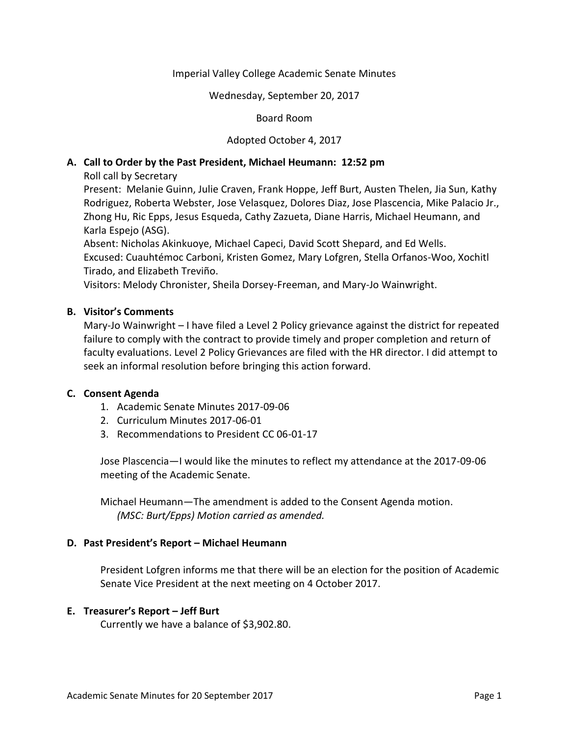## Imperial Valley College Academic Senate Minutes

Wednesday, September 20, 2017

### Board Room

## Adopted October 4, 2017

## **A. Call to Order by the Past President, Michael Heumann: 12:52 pm**

Roll call by Secretary

Present: Melanie Guinn, Julie Craven, Frank Hoppe, Jeff Burt, Austen Thelen, Jia Sun, Kathy Rodriguez, Roberta Webster, Jose Velasquez, Dolores Diaz, Jose Plascencia, Mike Palacio Jr., Zhong Hu, Ric Epps, Jesus Esqueda, Cathy Zazueta, Diane Harris, Michael Heumann, and Karla Espejo (ASG).

Absent: Nicholas Akinkuoye, Michael Capeci, David Scott Shepard, and Ed Wells. Excused: Cuauhtémoc Carboni, Kristen Gomez, Mary Lofgren, Stella Orfanos-Woo, Xochitl Tirado, and Elizabeth Treviño.

Visitors: Melody Chronister, Sheila Dorsey-Freeman, and Mary-Jo Wainwright.

### **B. Visitor's Comments**

Mary-Jo Wainwright – I have filed a Level 2 Policy grievance against the district for repeated failure to comply with the contract to provide timely and proper completion and return of faculty evaluations. Level 2 Policy Grievances are filed with the HR director. I did attempt to seek an informal resolution before bringing this action forward.

## **C. Consent Agenda**

- 1. Academic Senate Minutes 2017-09-06
- 2. Curriculum Minutes 2017-06-01
- 3. Recommendations to President CC 06-01-17

Jose Plascencia—I would like the minutes to reflect my attendance at the 2017-09-06 meeting of the Academic Senate.

Michael Heumann—The amendment is added to the Consent Agenda motion. *(MSC: Burt/Epps) Motion carried as amended.*

## **D. Past President's Report – Michael Heumann**

President Lofgren informs me that there will be an election for the position of Academic Senate Vice President at the next meeting on 4 October 2017.

#### **E. Treasurer's Report – Jeff Burt**

Currently we have a balance of \$3,902.80.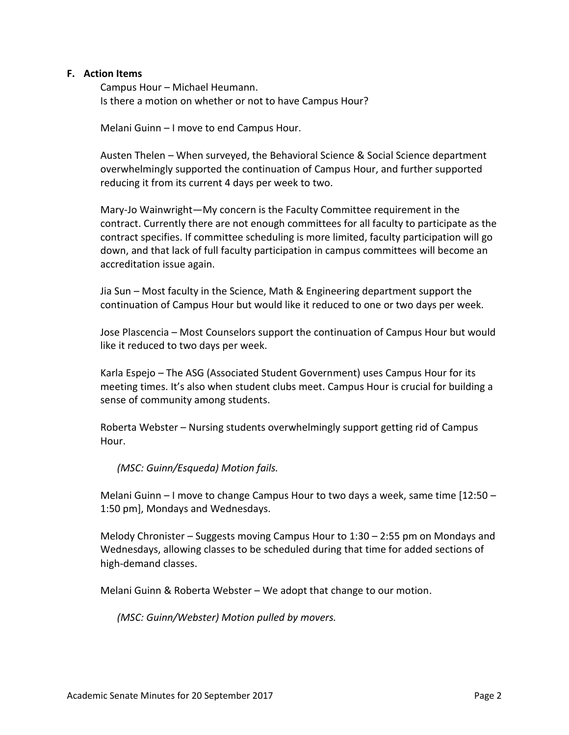### **F. Action Items**

Campus Hour – Michael Heumann. Is there a motion on whether or not to have Campus Hour?

Melani Guinn – I move to end Campus Hour.

Austen Thelen – When surveyed, the Behavioral Science & Social Science department overwhelmingly supported the continuation of Campus Hour, and further supported reducing it from its current 4 days per week to two.

Mary-Jo Wainwright—My concern is the Faculty Committee requirement in the contract. Currently there are not enough committees for all faculty to participate as the contract specifies. If committee scheduling is more limited, faculty participation will go down, and that lack of full faculty participation in campus committees will become an accreditation issue again.

Jia Sun – Most faculty in the Science, Math & Engineering department support the continuation of Campus Hour but would like it reduced to one or two days per week.

Jose Plascencia – Most Counselors support the continuation of Campus Hour but would like it reduced to two days per week.

Karla Espejo – The ASG (Associated Student Government) uses Campus Hour for its meeting times. It's also when student clubs meet. Campus Hour is crucial for building a sense of community among students.

Roberta Webster – Nursing students overwhelmingly support getting rid of Campus Hour.

*(MSC: Guinn/Esqueda) Motion fails.*

Melani Guinn – I move to change Campus Hour to two days a week, same time  $[12:50 -$ 1:50 pm], Mondays and Wednesdays.

Melody Chronister – Suggests moving Campus Hour to 1:30 – 2:55 pm on Mondays and Wednesdays, allowing classes to be scheduled during that time for added sections of high-demand classes.

Melani Guinn & Roberta Webster – We adopt that change to our motion.

*(MSC: Guinn/Webster) Motion pulled by movers.*